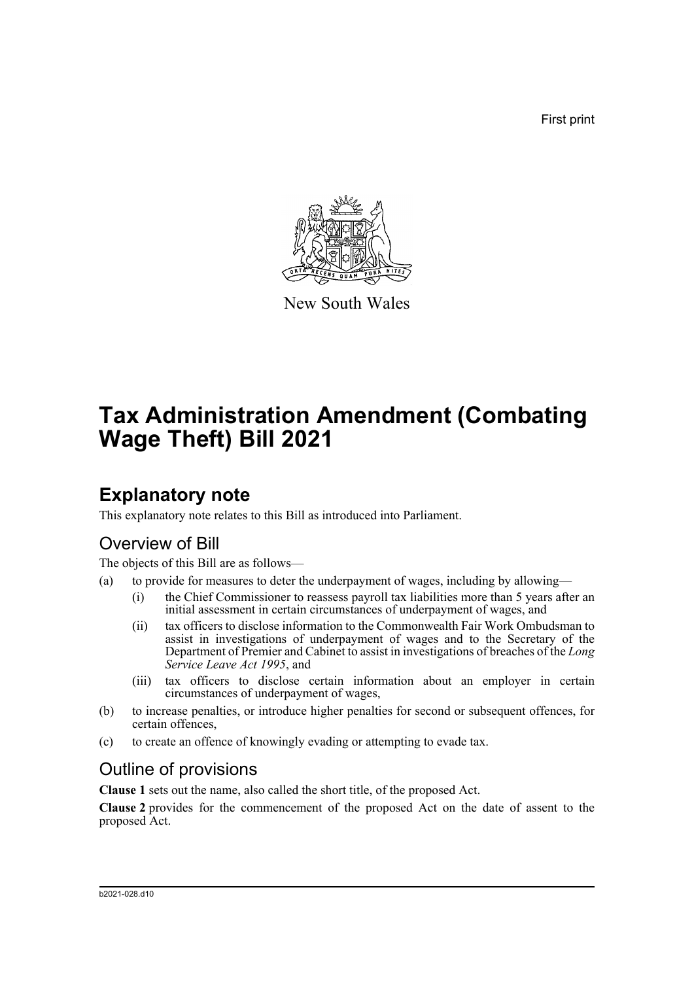First print



New South Wales

# **Tax Administration Amendment (Combating Wage Theft) Bill 2021**

## **Explanatory note**

This explanatory note relates to this Bill as introduced into Parliament.

### Overview of Bill

The objects of this Bill are as follows—

- (a) to provide for measures to deter the underpayment of wages, including by allowing—
	- (i) the Chief Commissioner to reassess payroll tax liabilities more than 5 years after an initial assessment in certain circumstances of underpayment of wages, and
	- (ii) tax officers to disclose information to the Commonwealth Fair Work Ombudsman to assist in investigations of underpayment of wages and to the Secretary of the Department of Premier and Cabinet to assist in investigations of breaches of the *Long Service Leave Act 1995*, and
	- (iii) tax officers to disclose certain information about an employer in certain circumstances of underpayment of wages,
- (b) to increase penalties, or introduce higher penalties for second or subsequent offences, for certain offences,
- (c) to create an offence of knowingly evading or attempting to evade tax.

### Outline of provisions

**Clause 1** sets out the name, also called the short title, of the proposed Act.

**Clause 2** provides for the commencement of the proposed Act on the date of assent to the proposed Act.

#### b2021-028.d10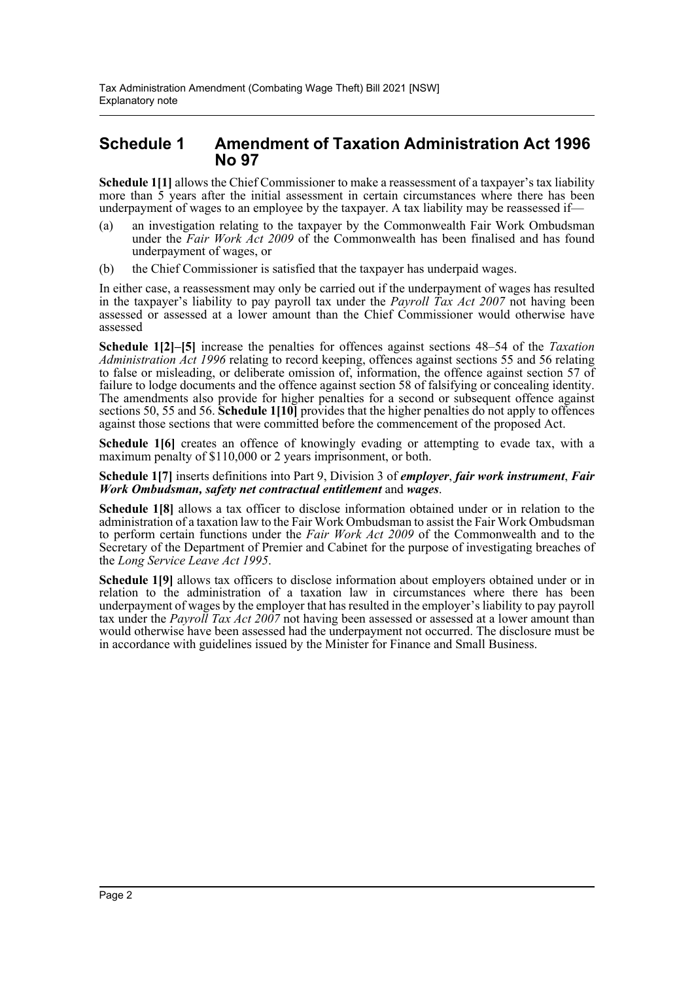### **Schedule 1 Amendment of Taxation Administration Act 1996 No 97**

**Schedule 1[1]** allows the Chief Commissioner to make a reassessment of a taxpayer's tax liability more than 5 years after the initial assessment in certain circumstances where there has been underpayment of wages to an employee by the taxpayer. A tax liability may be reassessed if—

- (a) an investigation relating to the taxpayer by the Commonwealth Fair Work Ombudsman under the *Fair Work Act 2009* of the Commonwealth has been finalised and has found underpayment of wages, or
- (b) the Chief Commissioner is satisfied that the taxpayer has underpaid wages.

In either case, a reassessment may only be carried out if the underpayment of wages has resulted in the taxpayer's liability to pay payroll tax under the *Payroll Tax Act 2007* not having been assessed or assessed at a lower amount than the Chief Commissioner would otherwise have assessed

**Schedule 1[2]–[5]** increase the penalties for offences against sections 48–54 of the *Taxation Administration Act 1996* relating to record keeping, offences against sections 55 and 56 relating to false or misleading, or deliberate omission of, information, the offence against section 57 of failure to lodge documents and the offence against section 58 of falsifying or concealing identity. The amendments also provide for higher penalties for a second or subsequent offence against sections 50, 55 and 56. **Schedule 1[10]** provides that the higher penalties do not apply to offences against those sections that were committed before the commencement of the proposed Act.

**Schedule 1[6]** creates an offence of knowingly evading or attempting to evade tax, with a maximum penalty of \$110,000 or 2 years imprisonment, or both.

#### **Schedule 1[7]** inserts definitions into Part 9, Division 3 of *employer*, *fair work instrument*, *Fair Work Ombudsman, safety net contractual entitlement* and *wages*.

**Schedule 1[8]** allows a tax officer to disclose information obtained under or in relation to the administration of a taxation law to the Fair Work Ombudsman to assist the Fair Work Ombudsman to perform certain functions under the *Fair Work Act 2009* of the Commonwealth and to the Secretary of the Department of Premier and Cabinet for the purpose of investigating breaches of the *Long Service Leave Act 1995*.

**Schedule 1[9]** allows tax officers to disclose information about employers obtained under or in relation to the administration of a taxation law in circumstances where there has been underpayment of wages by the employer that has resulted in the employer's liability to pay payroll tax under the *Payroll Tax Act 2007* not having been assessed or assessed at a lower amount than would otherwise have been assessed had the underpayment not occurred. The disclosure must be in accordance with guidelines issued by the Minister for Finance and Small Business.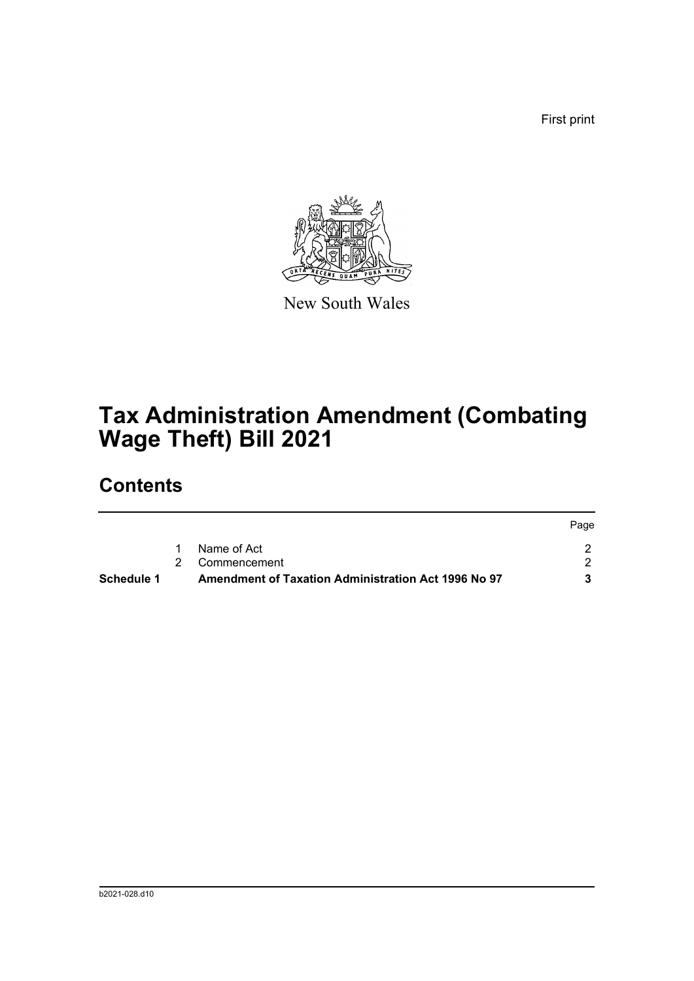First print



New South Wales

# **Tax Administration Amendment (Combating Wage Theft) Bill 2021**

## **Contents**

| Schedule 1 | Amendment of Taxation Administration Act 1996 No 97 |      |
|------------|-----------------------------------------------------|------|
|            | 2 Commencement                                      |      |
|            | Name of Act                                         |      |
|            |                                                     | Page |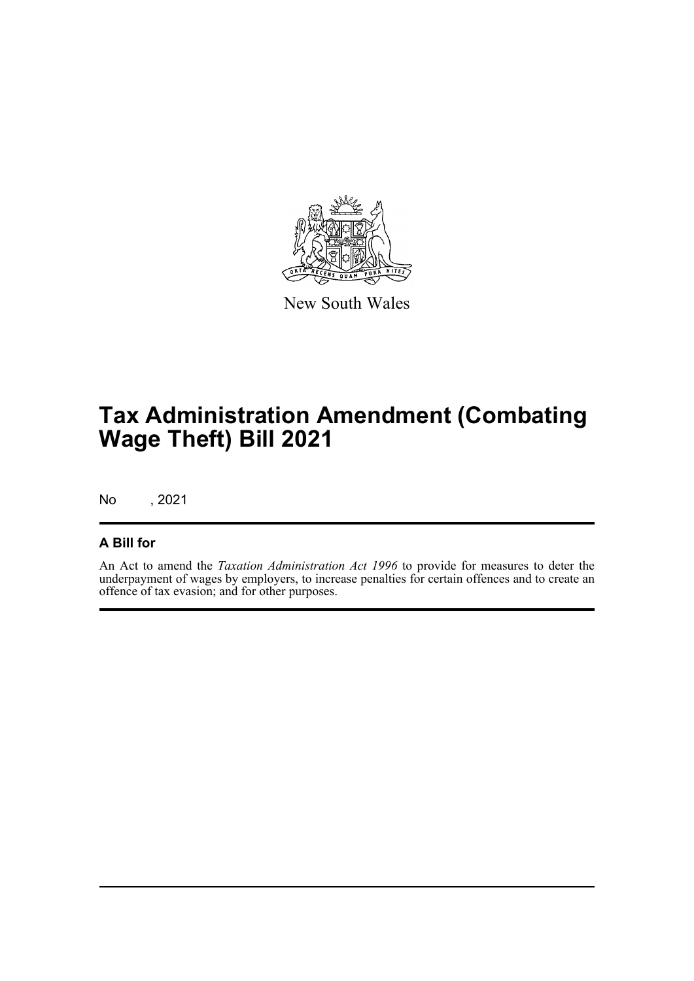

New South Wales

## **Tax Administration Amendment (Combating Wage Theft) Bill 2021**

No , 2021

### **A Bill for**

An Act to amend the *Taxation Administration Act 1996* to provide for measures to deter the underpayment of wages by employers, to increase penalties for certain offences and to create an offence of tax evasion; and for other purposes.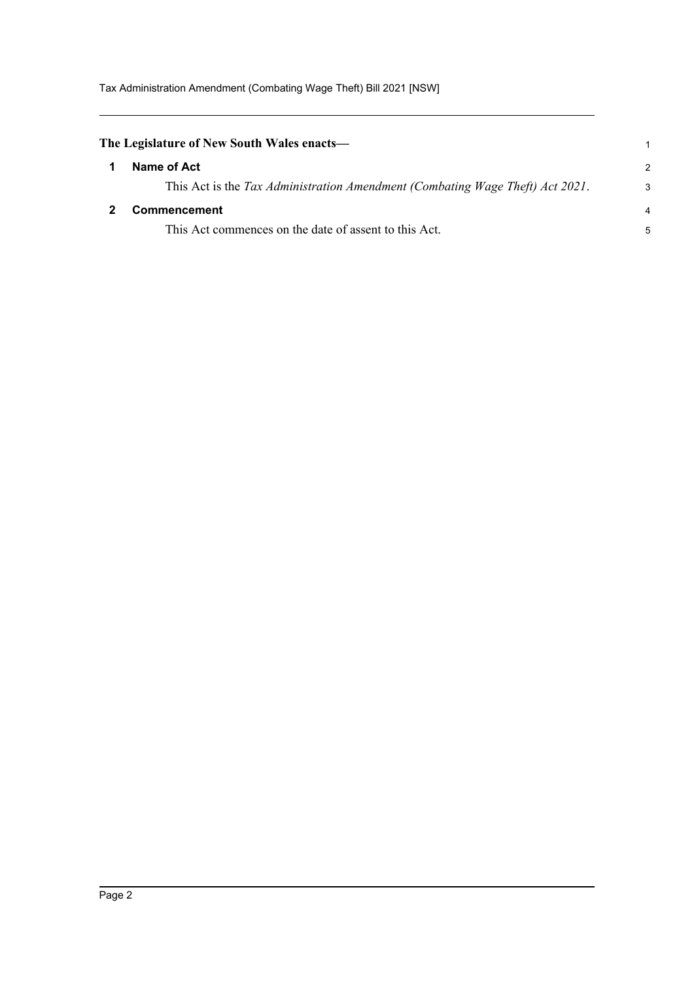Tax Administration Amendment (Combating Wage Theft) Bill 2021 [NSW]

<span id="page-4-1"></span><span id="page-4-0"></span>

| The Legislature of New South Wales enacts—                                    |               |
|-------------------------------------------------------------------------------|---------------|
| Name of Act                                                                   | $\mathcal{P}$ |
| This Act is the Tax Administration Amendment (Combating Wage Theft) Act 2021. | 3             |
| Commencement                                                                  | 4             |
| This Act commences on the date of assent to this Act.                         | 5             |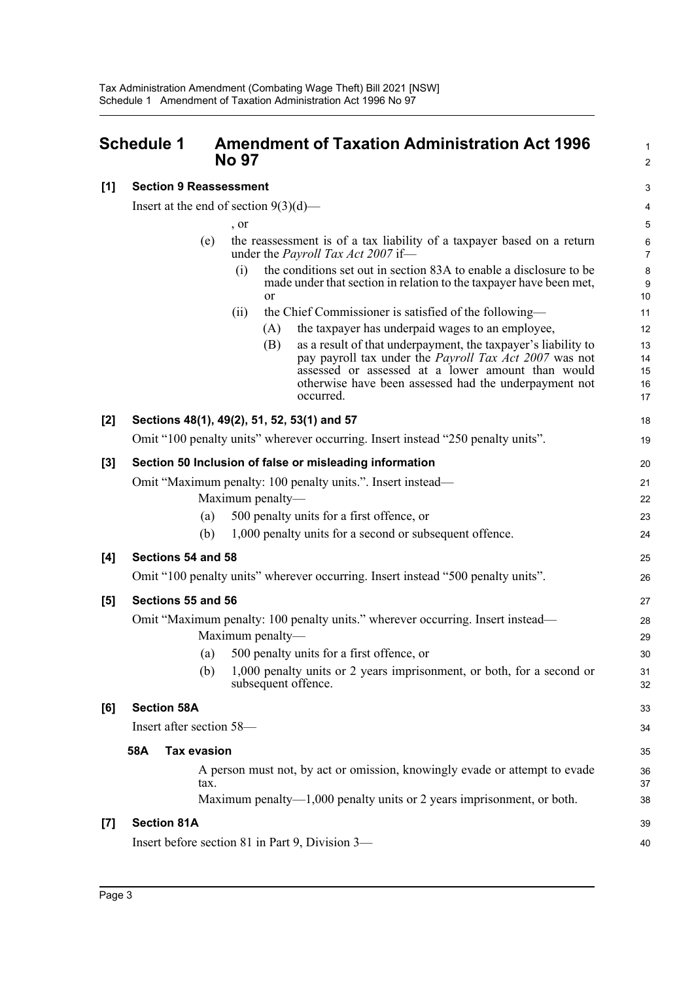**[1] Section 9 Reassessment**

### <span id="page-5-0"></span>**Schedule 1 Amendment of Taxation Administration Act 1996 No 97**

|                   | Insert at the end of section $9(3)(d)$ — |                  |                                                                                                                                                                                                                                                                                                                                                                                      | 4                                      |
|-------------------|------------------------------------------|------------------|--------------------------------------------------------------------------------------------------------------------------------------------------------------------------------------------------------------------------------------------------------------------------------------------------------------------------------------------------------------------------------------|----------------------------------------|
|                   |                                          | , or             |                                                                                                                                                                                                                                                                                                                                                                                      | $\mathbf 5$                            |
|                   | (e)                                      |                  | the reassessment is of a tax liability of a taxpayer based on a return<br>under the <i>Payroll Tax Act 2007</i> if-                                                                                                                                                                                                                                                                  | 6<br>$\overline{7}$                    |
|                   |                                          | (i)              | the conditions set out in section 83A to enable a disclosure to be<br>made under that section in relation to the taxpayer have been met,<br><b>or</b>                                                                                                                                                                                                                                | 8<br>9<br>10                           |
|                   |                                          | (ii)             | the Chief Commissioner is satisfied of the following—<br>the taxpayer has underpaid wages to an employee,<br>(A)<br>as a result of that underpayment, the taxpayer's liability to<br>(B)<br>pay payroll tax under the <i>Payroll Tax Act 2007</i> was not<br>assessed or assessed at a lower amount than would<br>otherwise have been assessed had the underpayment not<br>occurred. | 11<br>12<br>13<br>14<br>15<br>16<br>17 |
| [2]               |                                          |                  | Sections 48(1), 49(2), 51, 52, 53(1) and 57                                                                                                                                                                                                                                                                                                                                          | 18                                     |
|                   |                                          |                  | Omit "100 penalty units" wherever occurring. Insert instead "250 penalty units".                                                                                                                                                                                                                                                                                                     | 19                                     |
| [3]               | (a)<br>(b)                               | Maximum penalty- | Section 50 Inclusion of false or misleading information<br>Omit "Maximum penalty: 100 penalty units.". Insert instead—<br>500 penalty units for a first offence, or<br>1,000 penalty units for a second or subsequent offence.                                                                                                                                                       | 20<br>21<br>22<br>23<br>24             |
| [4]               | Sections 54 and 58                       |                  |                                                                                                                                                                                                                                                                                                                                                                                      | 25                                     |
|                   |                                          |                  | Omit "100 penalty units" wherever occurring. Insert instead "500 penalty units".                                                                                                                                                                                                                                                                                                     | 26                                     |
| [5]               | Sections 55 and 56                       |                  |                                                                                                                                                                                                                                                                                                                                                                                      | 27                                     |
|                   | (a)<br>(b)                               | Maximum penalty- | Omit "Maximum penalty: 100 penalty units." wherever occurring. Insert instead—<br>500 penalty units for a first offence, or<br>1,000 penalty units or 2 years imprisonment, or both, for a second or<br>subsequent offence.                                                                                                                                                          | 28<br>29<br>30<br>31<br>32             |
| [6]               | <b>Section 58A</b>                       |                  |                                                                                                                                                                                                                                                                                                                                                                                      | 33                                     |
|                   | Insert after section 58-                 |                  |                                                                                                                                                                                                                                                                                                                                                                                      | 34                                     |
|                   | 58A<br><b>Tax evasion</b>                |                  |                                                                                                                                                                                                                                                                                                                                                                                      | 35                                     |
|                   | tax.                                     |                  | A person must not, by act or omission, knowingly evade or attempt to evade<br>Maximum penalty—1,000 penalty units or 2 years imprisonment, or both.                                                                                                                                                                                                                                  | 36<br>37<br>38                         |
| $\left[ 7\right]$ | <b>Section 81A</b>                       |                  |                                                                                                                                                                                                                                                                                                                                                                                      | 39                                     |
|                   |                                          |                  | Insert before section 81 in Part 9, Division 3-                                                                                                                                                                                                                                                                                                                                      | 40                                     |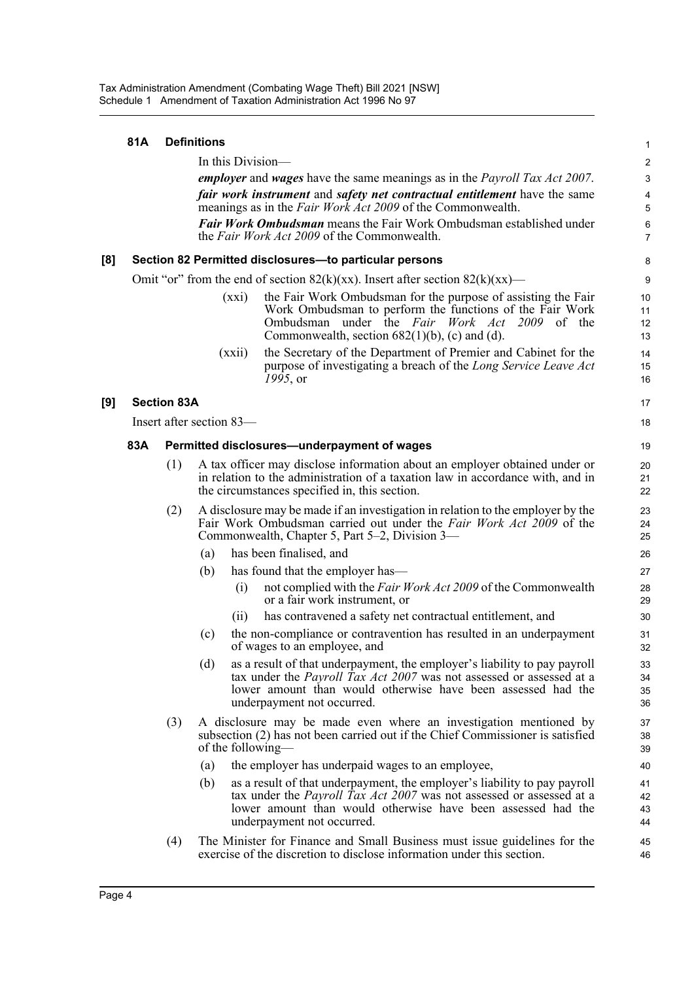|     | 81A                                                                                                                                                          |                    | <b>Definitions</b>                                                                                                                                                                                                                                            | 1                    |  |  |
|-----|--------------------------------------------------------------------------------------------------------------------------------------------------------------|--------------------|---------------------------------------------------------------------------------------------------------------------------------------------------------------------------------------------------------------------------------------------------------------|----------------------|--|--|
|     | In this Division-                                                                                                                                            |                    |                                                                                                                                                                                                                                                               |                      |  |  |
|     | <i>employer</i> and <i>wages</i> have the same meanings as in the <i>Payroll Tax Act 2007</i> .                                                              |                    |                                                                                                                                                                                                                                                               |                      |  |  |
|     | <i>fair work instrument</i> and <i>safety net contractual entitlement</i> have the same<br>meanings as in the <i>Fair Work Act 2009</i> of the Commonwealth. |                    |                                                                                                                                                                                                                                                               |                      |  |  |
|     | <b>Fair Work Ombudsman</b> means the Fair Work Ombudsman established under<br>the <i>Fair Work Act 2009</i> of the Commonwealth.                             |                    |                                                                                                                                                                                                                                                               |                      |  |  |
| [8] |                                                                                                                                                              |                    | Section 82 Permitted disclosures-to particular persons                                                                                                                                                                                                        | 8                    |  |  |
|     |                                                                                                                                                              |                    | Omit "or" from the end of section $82(k)(xx)$ . Insert after section $82(k)(xx)$ —                                                                                                                                                                            | 9                    |  |  |
|     |                                                                                                                                                              |                    | the Fair Work Ombudsman for the purpose of assisting the Fair<br>(xxi)<br>Work Ombudsman to perform the functions of the Fair Work<br>Ombudsman under the Fair Work Act 2009 of the<br>Commonwealth, section $682(1)(b)$ , (c) and (d).                       | 10<br>11<br>12<br>13 |  |  |
|     |                                                                                                                                                              |                    | the Secretary of the Department of Premier and Cabinet for the<br>(xxi)<br>purpose of investigating a breach of the Long Service Leave Act<br>1995, or                                                                                                        | 14<br>15<br>16       |  |  |
| [9] |                                                                                                                                                              | <b>Section 83A</b> |                                                                                                                                                                                                                                                               | 17                   |  |  |
|     |                                                                                                                                                              |                    | Insert after section 83-                                                                                                                                                                                                                                      | 18                   |  |  |
|     | 83A                                                                                                                                                          |                    | Permitted disclosures-underpayment of wages                                                                                                                                                                                                                   | 19                   |  |  |
|     |                                                                                                                                                              | (1)                | A tax officer may disclose information about an employer obtained under or<br>in relation to the administration of a taxation law in accordance with, and in<br>the circumstances specified in, this section.                                                 | 20<br>21<br>22       |  |  |
|     |                                                                                                                                                              | (2)                | A disclosure may be made if an investigation in relation to the employer by the<br>Fair Work Ombudsman carried out under the Fair Work Act 2009 of the<br>Commonwealth, Chapter 5, Part 5–2, Division 3—                                                      | 23<br>24<br>25       |  |  |
|     |                                                                                                                                                              |                    | has been finalised, and<br>(a)                                                                                                                                                                                                                                | 26                   |  |  |
|     |                                                                                                                                                              |                    | has found that the employer has—<br>(b)                                                                                                                                                                                                                       | 27                   |  |  |
|     |                                                                                                                                                              |                    | not complied with the Fair Work Act 2009 of the Commonwealth<br>(i)<br>or a fair work instrument, or                                                                                                                                                          | 28<br>29             |  |  |
|     |                                                                                                                                                              |                    | has contravened a safety net contractual entitlement, and<br>(i)                                                                                                                                                                                              | 30                   |  |  |
|     |                                                                                                                                                              |                    | the non-compliance or contravention has resulted in an underpayment<br>(c)<br>of wages to an employee, and                                                                                                                                                    | 31<br>32             |  |  |
|     |                                                                                                                                                              |                    | (d)<br>as a result of that underpayment, the employer's liability to pay payroll<br>tax under the <i>Payroll Tax Act 2007</i> was not assessed or assessed at a<br>lower amount than would otherwise have been assessed had the<br>underpayment not occurred. | 33<br>34<br>35<br>36 |  |  |
|     |                                                                                                                                                              | (3)                | A disclosure may be made even where an investigation mentioned by<br>subsection (2) has not been carried out if the Chief Commissioner is satisfied<br>of the following—                                                                                      | 37<br>38<br>39       |  |  |
|     |                                                                                                                                                              |                    | the employer has underpaid wages to an employee,<br>(a)                                                                                                                                                                                                       | 40                   |  |  |
|     |                                                                                                                                                              |                    | as a result of that underpayment, the employer's liability to pay payroll<br>(b)<br>tax under the Payroll Tax Act 2007 was not assessed or assessed at a<br>lower amount than would otherwise have been assessed had the<br>underpayment not occurred.        | 41<br>42<br>43<br>44 |  |  |
|     |                                                                                                                                                              | (4)                | The Minister for Finance and Small Business must issue guidelines for the<br>exercise of the discretion to disclose information under this section.                                                                                                           | 45<br>46             |  |  |